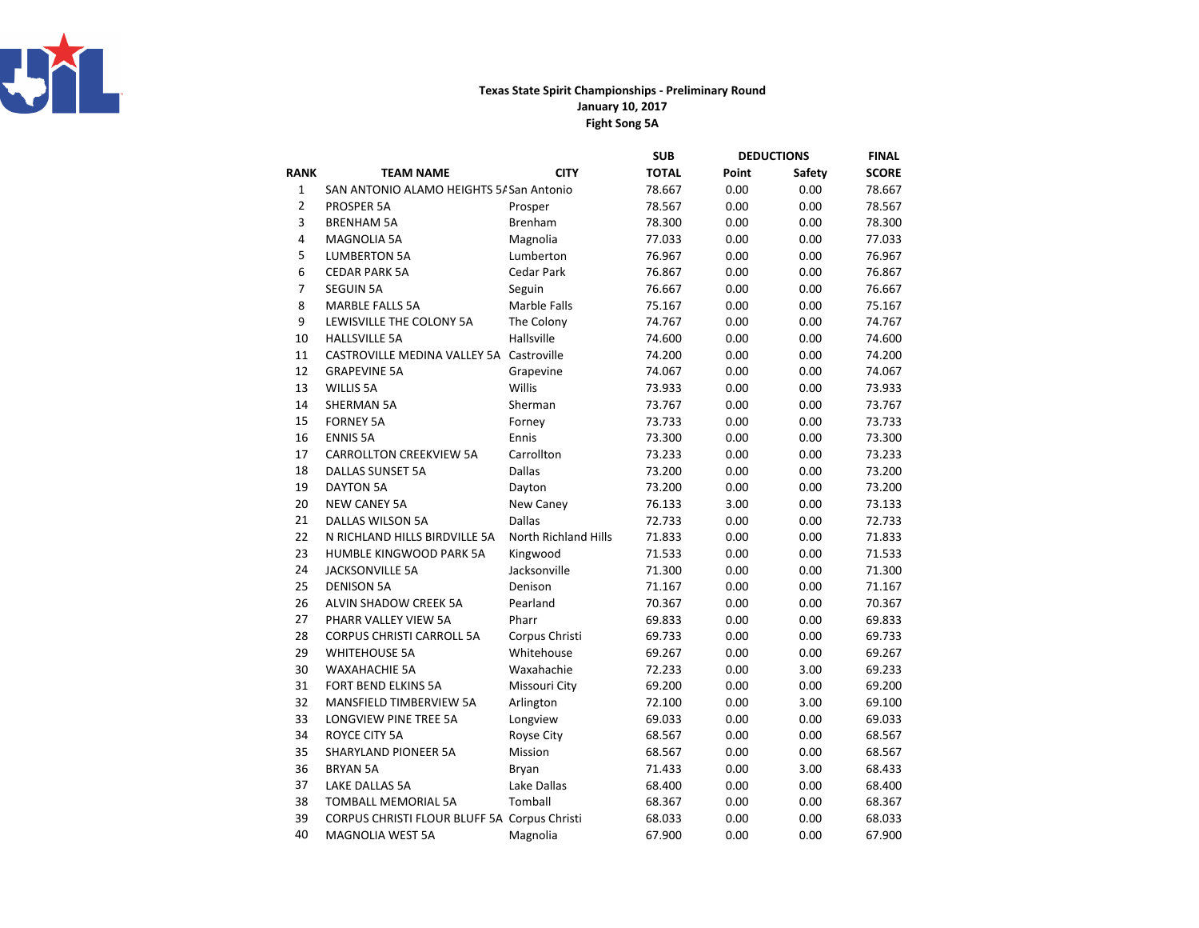

## Texas State Spirit Championships - Preliminary RoundFight Song 5AJanuary 10, 2017

|                |                                              |                      | <b>SUB</b>   | <b>DEDUCTIONS</b> |        | <b>FINAL</b> |
|----------------|----------------------------------------------|----------------------|--------------|-------------------|--------|--------------|
| <b>RANK</b>    | <b>TEAM NAME</b>                             | <b>CITY</b>          | <b>TOTAL</b> | Point             | Safety | <b>SCORE</b> |
| $\mathbf{1}$   | SAN ANTONIO ALAMO HEIGHTS 5/ San Antonio     |                      | 78.667       | 0.00              | 0.00   | 78.667       |
| $\overline{2}$ | PROSPER 5A                                   | Prosper              | 78.567       | 0.00              | 0.00   | 78.567       |
| 3              | <b>BRENHAM 5A</b>                            | <b>Brenham</b>       | 78.300       | 0.00              | 0.00   | 78.300       |
| 4              | <b>MAGNOLIA 5A</b>                           | Magnolia             | 77.033       | 0.00              | 0.00   | 77.033       |
| 5              | <b>LUMBERTON 5A</b>                          | Lumberton            | 76.967       | 0.00              | 0.00   | 76.967       |
| 6              | <b>CEDAR PARK 5A</b>                         | <b>Cedar Park</b>    | 76.867       | 0.00              | 0.00   | 76.867       |
| 7              | <b>SEGUIN 5A</b>                             | Seguin               | 76.667       | 0.00              | 0.00   | 76.667       |
| 8              | <b>MARBLE FALLS 5A</b>                       | Marble Falls         | 75.167       | 0.00              | 0.00   | 75.167       |
| 9              | LEWISVILLE THE COLONY 5A                     | The Colony           | 74.767       | 0.00              | 0.00   | 74.767       |
| 10             | <b>HALLSVILLE 5A</b>                         | Hallsville           | 74.600       | 0.00              | 0.00   | 74.600       |
| 11             | CASTROVILLE MEDINA VALLEY 5A Castroville     |                      | 74.200       | 0.00              | 0.00   | 74.200       |
| 12             | <b>GRAPEVINE 5A</b>                          | Grapevine            | 74.067       | 0.00              | 0.00   | 74.067       |
| 13             | <b>WILLIS 5A</b>                             | Willis               | 73.933       | 0.00              | 0.00   | 73.933       |
| 14             | <b>SHERMAN 5A</b>                            | Sherman              | 73.767       | 0.00              | 0.00   | 73.767       |
| 15             | <b>FORNEY 5A</b>                             | Forney               | 73.733       | 0.00              | 0.00   | 73.733       |
| 16             | <b>ENNIS 5A</b>                              | Ennis                | 73.300       | 0.00              | 0.00   | 73.300       |
| 17             | <b>CARROLLTON CREEKVIEW 5A</b>               | Carrollton           | 73.233       | 0.00              | 0.00   | 73.233       |
| 18             | DALLAS SUNSET 5A                             | Dallas               | 73.200       | 0.00              | 0.00   | 73.200       |
| 19             | <b>DAYTON 5A</b>                             | Dayton               | 73.200       | 0.00              | 0.00   | 73.200       |
| 20             | <b>NEW CANEY 5A</b>                          | New Caney            | 76.133       | 3.00              | 0.00   | 73.133       |
| 21             | <b>DALLAS WILSON 5A</b>                      | <b>Dallas</b>        | 72.733       | 0.00              | 0.00   | 72.733       |
| 22             | N RICHLAND HILLS BIRDVILLE 5A                | North Richland Hills | 71.833       | 0.00              | 0.00   | 71.833       |
| 23             | HUMBLE KINGWOOD PARK 5A                      | Kingwood             | 71.533       | 0.00              | 0.00   | 71.533       |
| 24             | <b>JACKSONVILLE 5A</b>                       | Jacksonville         | 71.300       | 0.00              | 0.00   | 71.300       |
| 25             | <b>DENISON 5A</b>                            | Denison              | 71.167       | 0.00              | 0.00   | 71.167       |
| 26             | ALVIN SHADOW CREEK 5A                        | Pearland             | 70.367       | 0.00              | 0.00   | 70.367       |
| 27             | PHARR VALLEY VIEW 5A                         | Pharr                | 69.833       | 0.00              | 0.00   | 69.833       |
| 28             | <b>CORPUS CHRISTI CARROLL 5A</b>             | Corpus Christi       | 69.733       | 0.00              | 0.00   | 69.733       |
| 29             | <b>WHITEHOUSE 5A</b>                         | Whitehouse           | 69.267       | 0.00              | 0.00   | 69.267       |
| 30             | <b>WAXAHACHIE 5A</b>                         | Waxahachie           | 72.233       | 0.00              | 3.00   | 69.233       |
| 31             | FORT BEND ELKINS 5A                          | Missouri City        | 69.200       | 0.00              | 0.00   | 69.200       |
| 32             | MANSFIELD TIMBERVIEW 5A                      | Arlington            | 72.100       | 0.00              | 3.00   | 69.100       |
| 33             | LONGVIEW PINE TREE 5A                        | Longview             | 69.033       | 0.00              | 0.00   | 69.033       |
| 34             | <b>ROYCE CITY 5A</b>                         | Royse City           | 68.567       | 0.00              | 0.00   | 68.567       |
| 35             | SHARYLAND PIONEER 5A                         | Mission              | 68.567       | 0.00              | 0.00   | 68.567       |
| 36             | <b>BRYAN 5A</b>                              | Bryan                | 71.433       | 0.00              | 3.00   | 68.433       |
| 37             | LAKE DALLAS 5A                               | Lake Dallas          | 68.400       | 0.00              | 0.00   | 68.400       |
| 38             | TOMBALL MEMORIAL 5A                          | Tomball              | 68.367       | 0.00              | 0.00   | 68.367       |
| 39             | CORPUS CHRISTI FLOUR BLUFF 5A Corpus Christi |                      | 68.033       | 0.00              | 0.00   | 68.033       |
| 40             | <b>MAGNOLIA WEST 5A</b>                      | Magnolia             | 67.900       | 0.00              | 0.00   | 67.900       |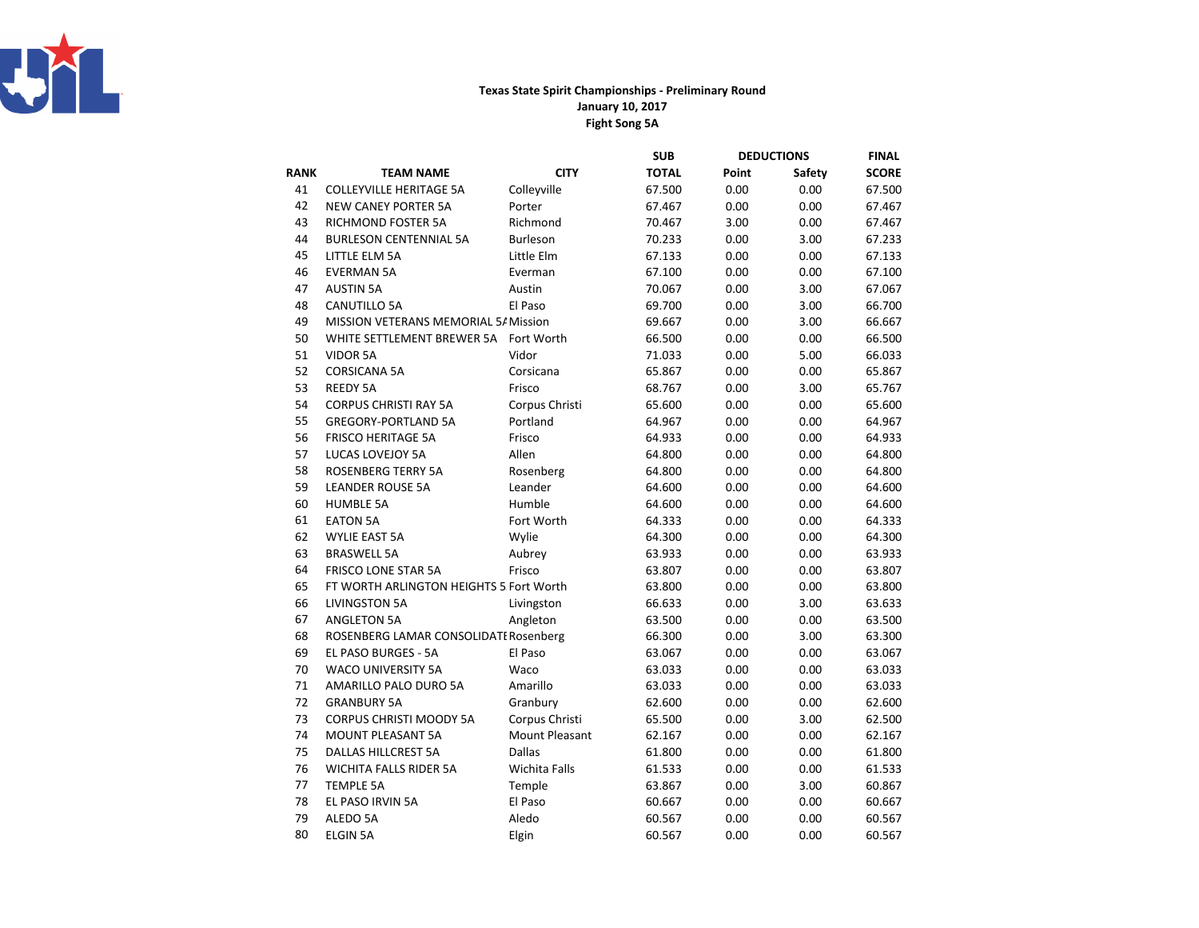

## Texas State Spirit Championships - Preliminary RoundFight Song 5A January 10, 2017

|             |                                         |                | <b>SUB</b>   | <b>DEDUCTIONS</b> |        | <b>FINAL</b> |
|-------------|-----------------------------------------|----------------|--------------|-------------------|--------|--------------|
| <b>RANK</b> | <b>TEAM NAME</b>                        | <b>CITY</b>    | <b>TOTAL</b> | Point             | Safety | <b>SCORE</b> |
| 41          | <b>COLLEYVILLE HERITAGE 5A</b>          | Colleyville    | 67.500       | 0.00              | 0.00   | 67.500       |
| 42          | <b>NEW CANEY PORTER 5A</b>              | Porter         | 67.467       | 0.00              | 0.00   | 67.467       |
| 43          | <b>RICHMOND FOSTER 5A</b>               | Richmond       | 70.467       | 3.00              | 0.00   | 67.467       |
| 44          | <b>BURLESON CENTENNIAL 5A</b>           | Burleson       | 70.233       | 0.00              | 3.00   | 67.233       |
| 45          | LITTLE ELM 5A                           | Little Elm     | 67.133       | 0.00              | 0.00   | 67.133       |
| 46          | <b>EVERMAN 5A</b>                       | Everman        | 67.100       | 0.00              | 0.00   | 67.100       |
| 47          | <b>AUSTIN 5A</b>                        | Austin         | 70.067       | 0.00              | 3.00   | 67.067       |
| 48          | <b>CANUTILLO 5A</b>                     | El Paso        | 69.700       | 0.00              | 3.00   | 66.700       |
| 49          | MISSION VETERANS MEMORIAL 5/ Mission    |                | 69.667       | 0.00              | 3.00   | 66.667       |
| 50          | WHITE SETTLEMENT BREWER 5A Fort Worth   |                | 66.500       | 0.00              | 0.00   | 66.500       |
| 51          | <b>VIDOR 5A</b>                         | Vidor          | 71.033       | 0.00              | 5.00   | 66.033       |
| 52          | <b>CORSICANA 5A</b>                     | Corsicana      | 65.867       | 0.00              | 0.00   | 65.867       |
| 53          | <b>REEDY 5A</b>                         | Frisco         | 68.767       | 0.00              | 3.00   | 65.767       |
| 54          | <b>CORPUS CHRISTI RAY 5A</b>            | Corpus Christi | 65.600       | 0.00              | 0.00   | 65.600       |
| 55          | <b>GREGORY-PORTLAND 5A</b>              | Portland       | 64.967       | 0.00              | 0.00   | 64.967       |
| 56          | <b>FRISCO HERITAGE 5A</b>               | Frisco         | 64.933       | 0.00              | 0.00   | 64.933       |
| 57          | LUCAS LOVEJOY 5A                        | Allen          | 64.800       | 0.00              | 0.00   | 64.800       |
| 58          | <b>ROSENBERG TERRY 5A</b>               | Rosenberg      | 64.800       | 0.00              | 0.00   | 64.800       |
| 59          | <b>LEANDER ROUSE 5A</b>                 | Leander        | 64.600       | 0.00              | 0.00   | 64.600       |
| 60          | <b>HUMBLE 5A</b>                        | Humble         | 64.600       | 0.00              | 0.00   | 64.600       |
| 61          | <b>EATON 5A</b>                         | Fort Worth     | 64.333       | 0.00              | 0.00   | 64.333       |
| 62          | <b>WYLIE EAST 5A</b>                    | Wylie          | 64.300       | 0.00              | 0.00   | 64.300       |
| 63          | <b>BRASWELL 5A</b>                      | Aubrey         | 63.933       | 0.00              | 0.00   | 63.933       |
| 64          | <b>FRISCO LONE STAR 5A</b>              | Frisco         | 63.807       | 0.00              | 0.00   | 63.807       |
| 65          | FT WORTH ARLINGTON HEIGHTS 5 Fort Worth |                | 63.800       | 0.00              | 0.00   | 63.800       |
| 66          | <b>LIVINGSTON 5A</b>                    | Livingston     | 66.633       | 0.00              | 3.00   | 63.633       |
| 67          | <b>ANGLETON 5A</b>                      | Angleton       | 63.500       | 0.00              | 0.00   | 63.500       |
| 68          | ROSENBERG LAMAR CONSOLIDATI Rosenberg   |                | 66.300       | 0.00              | 3.00   | 63.300       |
| 69          | EL PASO BURGES - 5A                     | El Paso        | 63.067       | 0.00              | 0.00   | 63.067       |
| 70          | <b>WACO UNIVERSITY 5A</b>               | Waco           | 63.033       | 0.00              | 0.00   | 63.033       |
| 71          | AMARILLO PALO DURO 5A                   | Amarillo       | 63.033       | 0.00              | 0.00   | 63.033       |
| 72          | <b>GRANBURY 5A</b>                      | Granbury       | 62.600       | 0.00              | 0.00   | 62.600       |
| 73          | <b>CORPUS CHRISTI MOODY 5A</b>          | Corpus Christi | 65.500       | 0.00              | 3.00   | 62.500       |
| 74          | <b>MOUNT PLEASANT 5A</b>                | Mount Pleasant | 62.167       | 0.00              | 0.00   | 62.167       |
| 75          | <b>DALLAS HILLCREST 5A</b>              | Dallas         | 61.800       | 0.00              | 0.00   | 61.800       |
| 76          | <b>WICHITA FALLS RIDER 5A</b>           | Wichita Falls  | 61.533       | 0.00              | 0.00   | 61.533       |
| 77          | <b>TEMPLE 5A</b>                        | Temple         | 63.867       | 0.00              | 3.00   | 60.867       |
| 78          | EL PASO IRVIN 5A                        | El Paso        | 60.667       | 0.00              | 0.00   | 60.667       |
| 79          | ALEDO 5A                                | Aledo          | 60.567       | 0.00              | 0.00   | 60.567       |
| 80          | <b>ELGIN 5A</b>                         | Elgin          | 60.567       | 0.00              | 0.00   | 60.567       |
|             |                                         |                |              |                   |        |              |